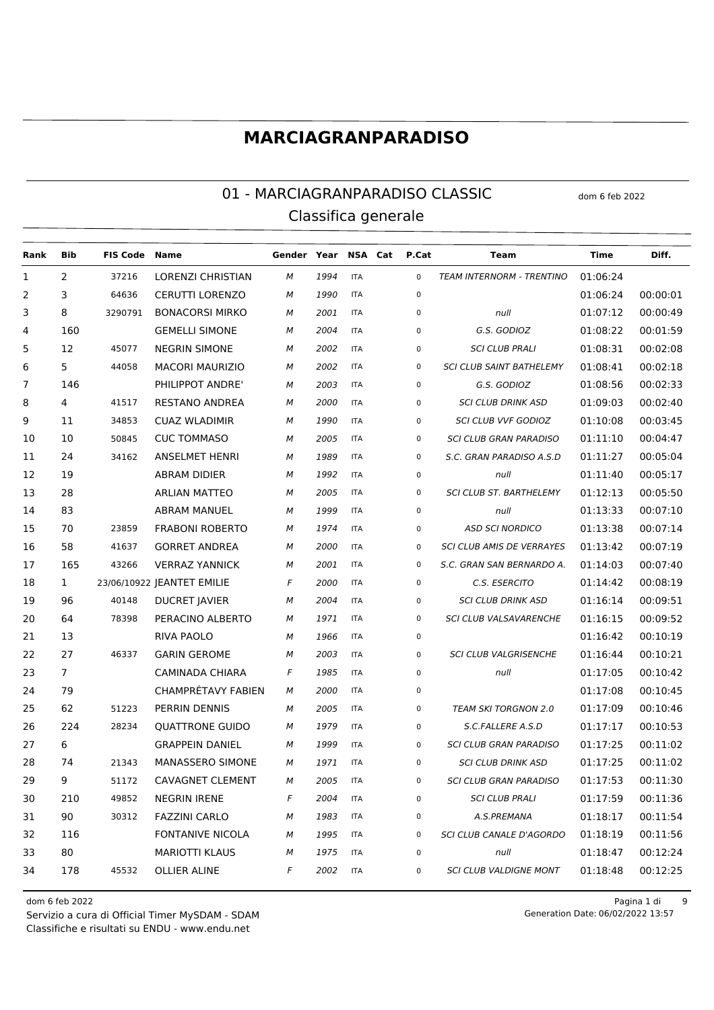#### 01 - MARCIAGRANPARADISO CLASSIC dom 6 feb 2022 Classifica generale

| Rank | Bib            | <b>FIS Code Name</b> |                            | Gender Year NSA Cat |      |            | P.Cat       | <b>Team</b>                      | Time     | Diff.    |
|------|----------------|----------------------|----------------------------|---------------------|------|------------|-------------|----------------------------------|----------|----------|
| 1    | $\overline{2}$ | 37216                | LORENZI CHRISTIAN          | м                   | 1994 | <b>ITA</b> | $\mathbf 0$ | TEAM INTERNORM - TRENTINO        | 01:06:24 |          |
| 2    | 3              | 64636                | <b>CERUTTI LORENZO</b>     | М                   | 1990 | <b>ITA</b> | $\mathbf 0$ |                                  | 01:06:24 | 00:00:01 |
| 3    | 8              | 3290791              | <b>BONACORSI MIRKO</b>     | М                   | 2001 | <b>ITA</b> | 0           | null                             | 01:07:12 | 00:00:49 |
| 4    | 160            |                      | <b>GEMELLI SIMONE</b>      | М                   | 2004 | <b>ITA</b> | 0           | G.S. GODIOZ                      | 01:08:22 | 00:01:59 |
| 5    | 12             | 45077                | <b>NEGRIN SIMONE</b>       | М                   | 2002 | <b>ITA</b> | 0           | <b>SCI CLUB PRALI</b>            | 01:08:31 | 00:02:08 |
| 6    | 5              | 44058                | <b>MACORI MAURIZIO</b>     | М                   | 2002 | <b>ITA</b> | 0           | <b>SCI CLUB SAINT BATHELEMY</b>  | 01:08:41 | 00:02:18 |
| 7    | 146            |                      | PHILIPPOT ANDRE'           | М                   | 2003 | <b>ITA</b> | 0           | G.S. GODIOZ                      | 01:08:56 | 00:02:33 |
| 8    | 4              | 41517                | RESTANO ANDREA             | М                   | 2000 | <b>ITA</b> | 0           | <b>SCI CLUB DRINK ASD</b>        | 01:09:03 | 00:02:40 |
| 9    | 11             | 34853                | <b>CUAZ WLADIMIR</b>       | М                   | 1990 | <b>ITA</b> | 0           | <b>SCI CLUB VVF GODIOZ</b>       | 01:10:08 | 00:03:45 |
| 10   | 10             | 50845                | <b>CUC TOMMASO</b>         | М                   | 2005 | <b>ITA</b> | 0           | <b>SCI CLUB GRAN PARADISO</b>    | 01:11:10 | 00:04:47 |
| 11   | 24             | 34162                | <b>ANSELMET HENRI</b>      | М                   | 1989 | <b>ITA</b> | 0           | S.C. GRAN PARADISO A.S.D         | 01:11:27 | 00:05:04 |
| 12   | 19             |                      | <b>ABRAM DIDIER</b>        | М                   | 1992 | <b>ITA</b> | 0           | null                             | 01:11:40 | 00:05:17 |
| 13   | 28             |                      | <b>ARLIAN MATTEO</b>       | М                   | 2005 | <b>ITA</b> | 0           | <b>SCI CLUB ST. BARTHELEMY</b>   | 01:12:13 | 00:05:50 |
| 14   | 83             |                      | <b>ABRAM MANUEL</b>        | М                   | 1999 | <b>ITA</b> | 0           | null                             | 01:13:33 | 00:07:10 |
| 15   | 70             | 23859                | <b>FRABONI ROBERTO</b>     | М                   | 1974 | <b>ITA</b> | 0           | <b>ASD SCI NORDICO</b>           | 01:13:38 | 00:07:14 |
| 16   | 58             | 41637                | <b>GORRET ANDREA</b>       | М                   | 2000 | <b>ITA</b> | 0           | <b>SCI CLUB AMIS DE VERRAYES</b> | 01:13:42 | 00:07:19 |
| 17   | 165            | 43266                | <b>VERRAZ YANNICK</b>      | М                   | 2001 | <b>ITA</b> | 0           | S.C. GRAN SAN BERNARDO A.        | 01:14:03 | 00:07:40 |
| 18   | $\mathbf{1}$   |                      | 23/06/10922 JEANTET EMILIE | F                   | 2000 | <b>ITA</b> | 0           | C.S. ESERCITO                    | 01:14:42 | 00:08:19 |
| 19   | 96             | 40148                | DUCRET JAVIER              | М                   | 2004 | <b>ITA</b> | 0           | <b>SCI CLUB DRINK ASD</b>        | 01:16:14 | 00:09:51 |
| 20   | 64             | 78398                | PERACINO ALBERTO           | М                   | 1971 | <b>ITA</b> | 0           | <b>SCI CLUB VALSAVARENCHE</b>    | 01:16:15 | 00:09:52 |
| 21   | 13             |                      | <b>RIVA PAOLO</b>          | М                   | 1966 | <b>ITA</b> | 0           |                                  | 01:16:42 | 00:10:19 |
| 22   | 27             | 46337                | <b>GARIN GEROME</b>        | М                   | 2003 | <b>ITA</b> | 0           | <b>SCI CLUB VALGRISENCHE</b>     | 01:16:44 | 00:10:21 |
| 23   | $7^{\circ}$    |                      | <b>CAMINADA CHIARA</b>     | F                   | 1985 | <b>ITA</b> | 0           | null                             | 01:17:05 | 00:10:42 |
| 24   | 79             |                      | CHAMPRÉTAVY FABIEN         | М                   | 2000 | <b>ITA</b> | 0           |                                  | 01:17:08 | 00:10:45 |
| 25   | 62             | 51223                | PERRIN DENNIS              | М                   | 2005 | <b>ITA</b> | 0           | <b>TEAM SKI TORGNON 2.0</b>      | 01:17:09 | 00:10:46 |
| 26   | 224            | 28234                | <b>QUATTRONE GUIDO</b>     | М                   | 1979 | <b>ITA</b> | 0           | S.C.FALLERE A.S.D                | 01:17:17 | 00:10:53 |
| 27   | 6              |                      | <b>GRAPPEIN DANIEL</b>     | М                   | 1999 | <b>ITA</b> | 0           | <b>SCI CLUB GRAN PARADISO</b>    | 01:17:25 | 00:11:02 |
| 28   | 74             | 21343                | MANASSERO SIMONE           | М                   | 1971 | <b>ITA</b> | 0           | <b>SCI CLUB DRINK ASD</b>        | 01:17:25 | 00:11:02 |
| 29   | 9              | 51172                | CAVAGNET CLEMENT           | М                   | 2005 | <b>ITA</b> | 0           | SCI CLUB GRAN PARADISO           | 01:17:53 | 00:11:30 |
| 30   | 210            | 49852                | <b>NEGRIN IRENE</b>        | F                   | 2004 | <b>ITA</b> | 0           | <b>SCI CLUB PRALI</b>            | 01:17:59 | 00:11:36 |
| 31   | 90             | 30312                | <b>FAZZINI CARLO</b>       | М                   | 1983 | <b>ITA</b> | 0           | A.S.PREMANA                      | 01:18:17 | 00:11:54 |
| 32   | 116            |                      | FONTANIVE NICOLA           | М                   | 1995 | <b>ITA</b> | 0           | SCI CLUB CANALE D'AGORDO         | 01:18:19 | 00:11:56 |
| 33   | 80             |                      | <b>MARIOTTI KLAUS</b>      | М                   | 1975 | <b>ITA</b> | 0           | null                             | 01:18:47 | 00:12:24 |
| 34   | 178            | 45532                | OLLIER ALINE               | F                   | 2002 | <b>ITA</b> | 0           | <b>SCI CLUB VALDIGNE MONT</b>    | 01:18:48 | 00:12:25 |
|      |                |                      |                            |                     |      |            |             |                                  |          |          |

Classifiche e risultati su ENDU - www.endu.net Servizio a cura di Official Timer MySDAM - SDAM 06/02/2022 13:57

dom 6 feb 2022 Pagina 1 di 9 Generation Date: 06/02/2022 13:57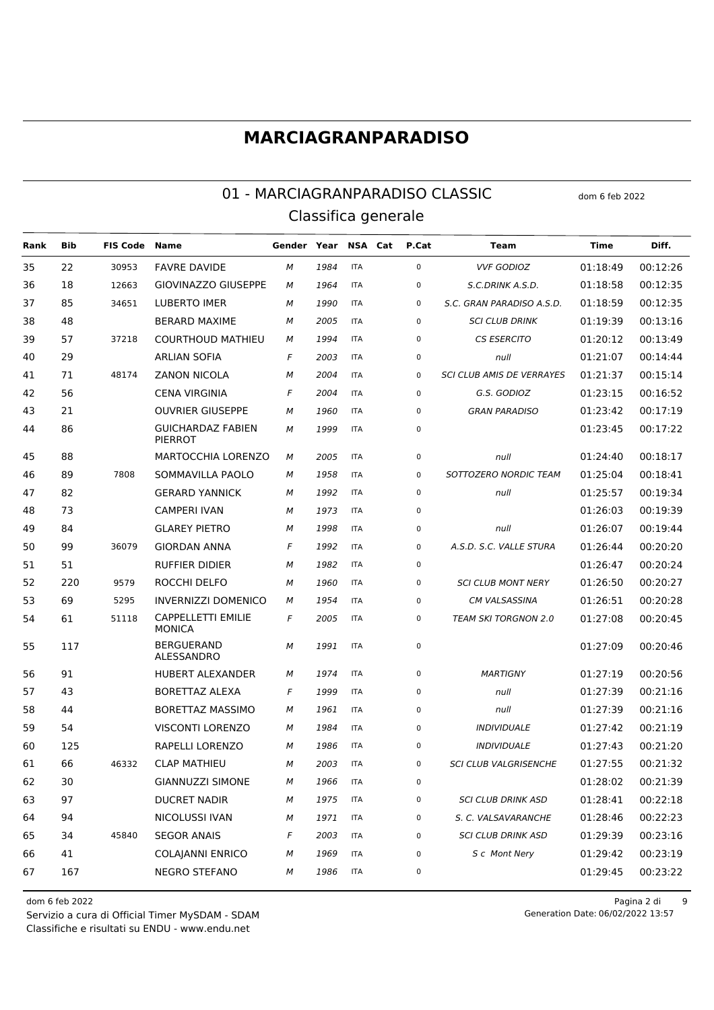#### 01 - MARCIAGRANPARADISO CLASSIC dom 6 feb 2022 Classifica generale

**Rank Bib FIS Code Name Gender Year NSA Cat P.Cat Team Time Diff.** 22 30953 FAVRE DAVIDE *M 1984* ITA 0 *VVF GODIOZ* 01:18:49 00:12:26 18 12663 GIOVINAZZO GIUSEPPE *M 1964* ITA 0 *S.C.DRINK A.S.D.* 01:18:58 00:12:35 85 34651 LUBERTO IMER *M 1990* ITA 0 *S.C. GRAN PARADISO A.S.D.* 01:18:59 00:12:35 48 BERARD MAXIME *M 2005* ITA 0 *SCI CLUB DRINK* 01:19:39 00:13:16 57 37218 COURTHOUD MATHIEU *M 1994* ITA 0 *CS ESERCITO* 01:20:12 00:13:49 29 ARLIAN SOFIA *F 2003* ITA 0 *null* 01:21:07 00:14:44 71 48174 ZANON NICOLA *M 2004* ITA 0 *SCI CLUB AMIS DE VERRAYES* 01:21:37 00:15:14 56 CENA VIRGINIA *F 2004* ITA 0 *G.S. GODIOZ* 01:23:15 00:16:52 21 OUVRIER GIUSEPPE *M 1960* ITA 0 *GRAN PARADISO* 01:23:42 00:17:19 GUICHARDAZ FABIEN *M 1999* ITA 0 01:23:45 00:17:22 PIERROT 88 MARTOCCHIA LORENZO *M 2005* ITA 0 *null* 01:24:40 00:18:17 89 7808 SOMMAVILLA PAOLO *M 1958* ITA 0 *SOTTOZERO NORDIC TEAM* 01:25:04 00:18:41 82 GERARD YANNICK *M 1992* ITA 0 *null* 01:25:57 00:19:34 73 CAMPERI IVAN *M 1973* ITA 0 01:26:03 00:19:39 84 GLAREY PIETRO *M 1998* ITA 0 *null* 01:26:07 00:19:44 99 36079 GIORDAN ANNA *F 1992* ITA 0 *A.S.D. S.C. VALLE STURA* 01:26:44 00:20:20 51 RUFFIER DIDIER *M 1982* ITA 0 01:26:47 00:20:24 220 9579 ROCCHI DELFO *M 1960* ITA 0 *SCI CLUB MONT NERY* 01:26:50 00:20:27 69 5295 INVERNIZZI DOMENICO *M 1954* ITA 0 *CM VALSASSINA* 01:26:51 00:20:28 CAPPELLETTI EMILIE 51118 *F 2005* ITA 0 *TEAM SKI TORGNON 2.0* 01:27:08 00:20:45 **MONICA**  BERGUERAND ALESSANDRO *M 1991* ITA 0 01:27:09 00:20:46 91 HUBERT ALEXANDER *M 1974* ITA 0 *MARTIGNY* 01:27:19 00:20:56 43 BORETTAZ ALEXA *F 1999* ITA 0 *null* 01:27:39 00:21:16 44 BORETTAZ MASSIMO *M 1961* ITA 0 *null* 01:27:39 00:21:16 54 VISCONTI LORENZO *M 1984* ITA 0 *INDIVIDUALE* 01:27:42 00:21:19 125 RAPELLI LORENZO *M 1986* ITA 0 *INDIVIDUALE* 01:27:43 00:21:20 66 46332 CLAP MATHIEU *M 2003* ITA 0 *SCI CLUB VALGRISENCHE* 01:27:55 00:21:32 30 GIANNUZZI SIMONE *M 1966* ITA 0 01:28:02 00:21:39 97 DUCRET NADIR *M 1975* ITA 0 *SCI CLUB DRINK ASD* 01:28:41 00:22:18 94 NICOLUSSI IVAN *M 1971* ITA 0 *S. C. VALSAVARANCHE* 01:28:46 00:22:23 34 45840 SEGOR ANAIS *F 2003* ITA 0 *SCI CLUB DRINK ASD* 01:29:39 00:23:16 41 COLAJANNI ENRICO *M 1969* ITA 0 *S c Mont Nery* 01:29:42 00:23:19 167 NEGRO STEFANO *M 1986* ITA 0 01:29:45 00:23:22

Classifiche e risultati su ENDU - www.endu.net Servizio a cura di Official Timer MySDAM - SDAM

dom 6 feb 2022 Pagina 2 di 9 Generation Date: 06/02/2022 13:57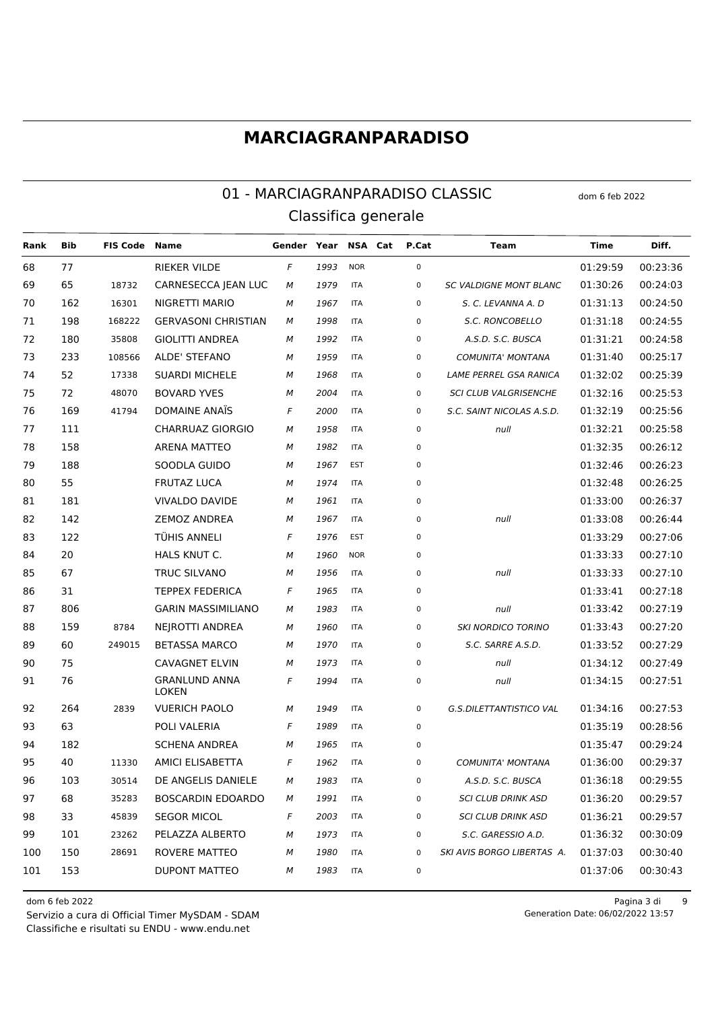#### 01 - MARCIAGRANPARADISO CLASSIC dom 6 feb 2022 Classifica generale

**Rank Bib FIS Code Name Gender Year NSA Cat P.Cat Team Time Diff.** 77 RIEKER VILDE *F 1993* NOR 0 01:29:59 00:23:36 65 18732 CARNESECCA JEAN LUC *M 1979* ITA 0 *SC VALDIGNE MONT BLANC* 01:30:26 00:24:03 162 16301 NIGRETTI MARIO *M 1967* ITA 0 *S. C. LEVANNA A. D* 01:31:13 00:24:50 198 168222 GERVASONI CHRISTIAN *M 1998* ITA 0 *S.C. RONCOBELLO* 01:31:18 00:24:55 180 35808 GIOLITTI ANDREA *M 1992* ITA 0 *A.S.D. S.C. BUSCA* 01:31:21 00:24:58 233 108566 ALDE' STEFANO *M 1959* ITA 0 *COMUNITA' MONTANA* 01:31:40 00:25:17 52 17338 SUARDI MICHELE *M 1968* ITA 0 *LAME PERREL GSA RANICA* 01:32:02 00:25:39 72 48070 BOVARD YVES *M 2004* ITA 0 *SCI CLUB VALGRISENCHE* 01:32:16 00:25:53 169 41794 DOMAINE ANAÏS *F 2000* ITA 0 *S.C. SAINT NICOLAS A.S.D.* 01:32:19 00:25:56 111 CHARRUAZ GIORGIO *M 1958* ITA 0 *null* 01:32:21 00:25:58 158 ARENA MATTEO *M 1982* ITA 0 01:32:35 00:26:12 188 SOODLA GUIDO *M 1967* EST 0 01:32:46 00:26:23 55 FRUTAZ LUCA *M 1974* ITA 0 01:32:48 00:26:25 181 VIVALDO DAVIDE *M 1961* ITA 0 01:33:00 00:26:37 142 ZEMOZ ANDREA *M 1967* ITA 0 *null* 01:33:08 00:26:44 122 TÜHIS ANNELI *F 1976* EST 0 01:33:29 00:27:06 20 HALS KNUT C. *M 1960* NOR 0 01:33:33 00:27:10 67 TRUC SILVANO *M 1956* ITA 0 *null* 01:33:33 00:27:10 31 TEPPEX FEDERICA *F 1965* ITA 0 01:33:41 00:27:18 806 GARIN MASSIMILIANO *M 1983* ITA 0 *null* 01:33:42 00:27:19 159 8784 NEJROTTI ANDREA *M 1960* ITA 0 *SKI NORDICO TORINO* 01:33:43 00:27:20 60 249015 BETASSA MARCO *M 1970* ITA 0 *S.C. SARRE A.S.D.* 01:33:52 00:27:29 75 CAVAGNET ELVIN *M 1973* ITA 0 *null* 01:34:12 00:27:49 GRANLUND ANNA **LOKEN**  *F 1994* ITA 0 *null* 01:34:15 00:27:51 264 2839 VUERICH PAOLO *M 1949* ITA 0 *G.S.DILETTANTISTICO VAL* 01:34:16 00:27:53 63 POLI VALERIA *F 1989* ITA 0 01:35:19 00:28:56 182 SCHENA ANDREA *M 1965* ITA 0 01:35:47 00:29:24 40 11330 AMICI ELISABETTA *F 1962* ITA 0 *COMUNITA' MONTANA* 01:36:00 00:29:37 103 30514 DE ANGELIS DANIELE *M 1983* ITA 0 *A.S.D. S.C. BUSCA* 01:36:18 00:29:55 68 35283 BOSCARDIN EDOARDO *M 1991* ITA 0 *SCI CLUB DRINK ASD* 01:36:20 00:29:57 33 45839 SEGOR MICOL *F 2003* ITA 0 *SCI CLUB DRINK ASD* 01:36:21 00:29:57 101 23262 PELAZZA ALBERTO *M 1973* ITA 0 *S.C. GARESSIO A.D.* 01:36:32 00:30:09 150 28691 ROVERE MATTEO *M 1980* ITA 0 *SKI AVIS BORGO LIBERTAS A.* 01:37:03 00:30:40 153 DUPONT MATTEO *M 1983* ITA 0 01:37:06 00:30:43

Classifiche e risultati su ENDU - www.endu.net Servizio a cura di Official Timer MySDAM - SDAM

dom 6 feb 2022 Pagina 3 di 9 Generation Date: 06/02/2022 13:57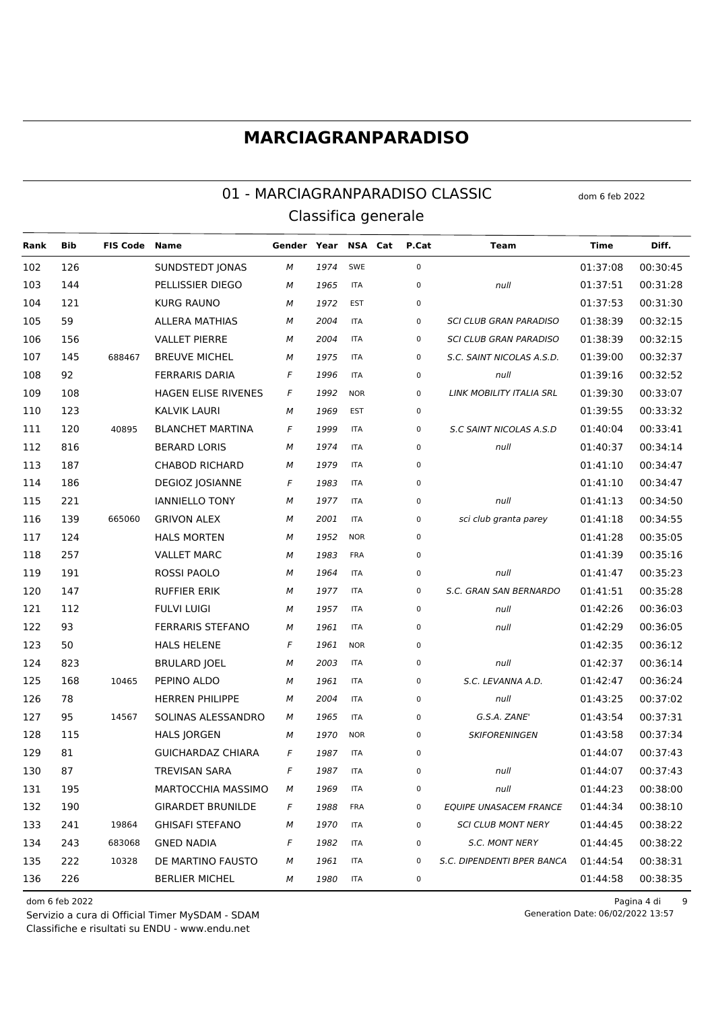#### 01 - MARCIAGRANPARADISO CLASSIC Classifica generale

**FIS Code Name** Gender Year NSA Cat P.Cat Diff. Rank **Bib Team Time** 102 126 **SUNDSTEDT JONAS** SWE  $\mathbf 0$ 01:37:08 00:30:45 1974 M 144 103 PELLISSIER DIEGO 01:37:51  ${\cal M}$ 1965 **ITA**  $\Omega$ null  $00.31.28$ 104 121 **KURG RAUNO** 00:31:30 M 1972 EST  $\Omega$ 01:37:53 **ALLERA MATHIAS** 105 59 **ITA**  $\Omega$ SCLCLUB GRAN PARADISO  $01.38.39$ 00:32:15 2004 M **VALLET PIERRE** 106 156 M 2004 **ITA**  $\Omega$ **SCI CLUB GRAN PARADISO**  $01.38.39$ 00:32:15 145 **BREUVE MICHEL** 107 688467 M 1975 **ITA**  $\Omega$ S.C. SAINT NICOLAS A.S.D. 01:39:00 00:32:37 108 92 **FFRRARIS DARIA**  $\overline{F}$ **ITA**  $\Omega$  $01.39.16$ 00:32:52 1996  $null$ **HAGEN ELISE RIVENES** 109 108  $\boldsymbol{F}$ 1992 **NOR**  $\Omega$ LINK MOBILITY ITALIA SRL 01:39:30 00:33:07 110 123 **KALVIK LAURI**  $\boldsymbol{M}$ 1969 EST  $\Omega$ 01:39:55 00:33:32 **BLANCHET MARTINA**  $111$  $120$ 40895  $\overline{F}$ **ITA**  $\Omega$  $01.40.04$ 00:33:41 **S.C SAINT NICOLAS A.S.D** 1999 112 816 **BERARD LORIS** M 1974 **ITA**  $\Omega$ 01:40:37 00:34:14 null 113 187 **CHABOD RICHARD** 1979 **ITA**  $\overline{0}$  $01:41:10$ 00:34:47 M  $114$ 186 **DEGIOZ JOSIANNE ITA**  $01:41:10$ 00:34:47  $\sqrt{2}$  $\Omega$ 1983 115 221 **IANNIELLO TONY** 1977 **ITA**  $\Omega$ 01:41:13 00:34:50 M null 116 139 665060 **GRIVON ALEX** 2001 **ITA**  $\Omega$  $01:41:18$ 00:34:55 M sci club granta parey **HALS MORTEN** 01:41:28 00:35:05 117  $124$ **NOR**  $\Omega$ M 1952 118 257 **VALLET MARC** M 1983 FRA  $\Omega$ 01:41:39 00:35:16 119 191 ROSSI PAOLO 1964 **ITA**  $\Omega$ 01:41:47 00:35:23 M  $null$ 147 **RUFFIER ERIK** S.C. GRAN SAN BERNARDO  $120$ **ITA**  $01.41.51$  $00.35.28$ M 1977  $\Omega$ 121 112 **FULVI LUIGI** 1957 **ITA**  $\Omega$ 01:42:26 00:36:03 M  $null$ 122 93 **FERRARIS STEFANO** 1961 **ITA**  $\mathbf{0}$ 01:42:29 00:36:05 M  $null$ **HALS HELENE**  $123$ 50 **NOR**  $01.42.35$ 00:36:12  $\sqrt{2}$ 1961  $\Omega$ 124 823 **BRULARD JOEL** 2003 **ITA**  $\Omega$ 01:42:37 00:36:14 M  $null$ 125 168 10465 PEPINO ALDO **ITA**  $\overline{0}$  $01:42:47$ 00:36:24 1961  $SCIFVANNA AD$ M  $126$ 78 HERREN PHILIPPE M 2004 **ITA**  $\Omega$  $null$ 01:43:25 00:37:02 127 95 14567 SOLINAS ALESSANDRO 1965 **ITA**  $\overline{0}$ G.S.A. ZANE' 01:43:54 00:37:31 M 115 **HALS IORGEN NOR**  $\overline{0}$ **SKIFORENINGEN**  $01:43:58$  $00:37:34$  $128$ 1970 M 81 **GUICHARDAZ CHIARA** 01:44:07 00:37:43  $129$  $\overline{F}$ 1987 **ITA**  $\Omega$ 130 87 **TREVISAN SARA**  $\overline{F}$ 1987 **ITA**  $\overline{0}$  $01:44:07$  $00:37:43$ null 195 MARTOCCHIA MASSIMO  $01:44:23$  $00:38:00$ 131 **ITA**  $\Omega$ M 1969  $null$ 190 **GIRARDET BRUNILDE** 01:44:34 00:38:10 132  $\overline{F}$ 1988 **FRA**  $\Omega$ **EOUIPE UNASACEM FRANCE** 133 241 19864 **GHISAFI STFFANO ITA**  $\overline{0}$ **SCI CLUB MONT NERY**  $01:44:45$ 00:38:22 M 1970 243 **GNED NADIA**  $01:44:45$ 00:38:22  $134$ 683068 **ITA**  $\Omega$ SC MONT NERY  $\overline{F}$ 1982  $222$ DE MARTINO FAUSTO 01:44:54 00:38:31 135 10328 M 1961 **ITA**  $\Omega$ S.C. DIPENDENTI BPER BANCA 136 226 **BERLIFR MICHEL**  $01:44:58$ 00:38:35  $\overline{M}$ 1980 **ITA**  $\Omega$ 

dom 6 feb 2022

Servizio a cura di Official Timer MySDAM - SDAM Classifiche e risultati su ENDU - www.endu.net

Pagina 4 di  $\overline{9}$ Generation Date: 06/02/2022 13:57

dom 6 feb 2022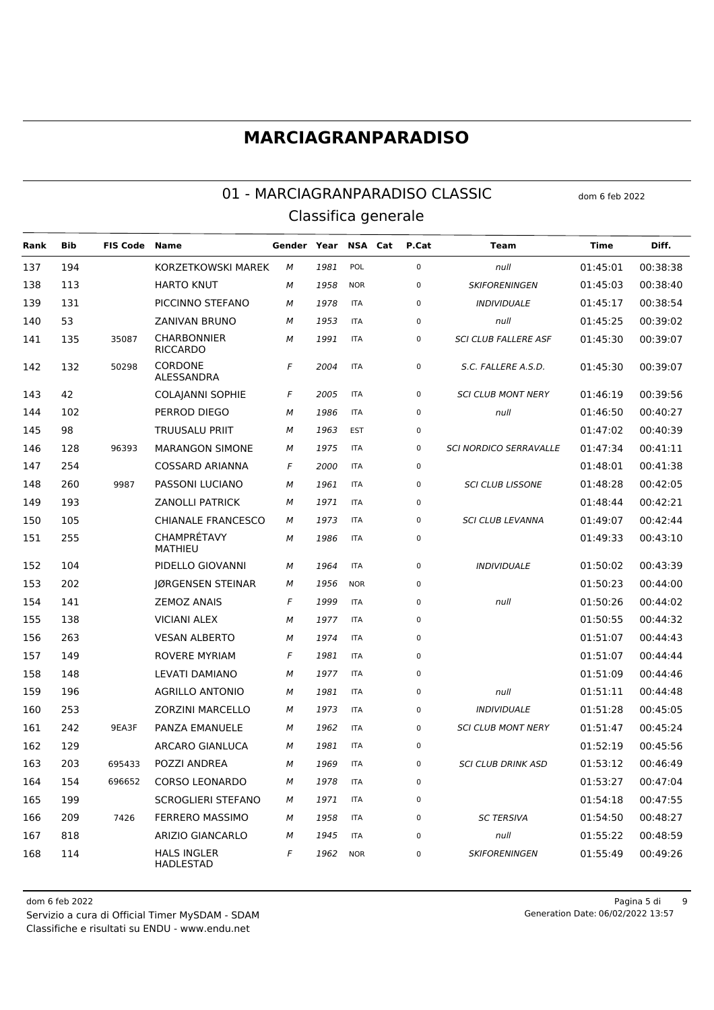#### 01 - MARCIAGRANPARADISO CLASSIC dom 6 feb 2022 Classifica generale

**Rank Bib FIS Code Name Gender Year NSA Cat P.Cat Team Time Diff.** 194 KORZETKOWSKI MAREK *M 1981* POL 0 *null* 01:45:01 00:38:38 113 HARTO KNUT *M 1958* NOR 0 *SKIFORENINGEN* 01:45:03 00:38:40 131 PICCINNO STEFANO *M 1978* ITA 0 *INDIVIDUALE* 01:45:17 00:38:54 53 ZANIVAN BRUNO *M 1953* ITA 0 *null* 01:45:25 00:39:02 CHARBONNIER RICCARDO 35087 *M 1991* ITA 0 *SCI CLUB FALLERE ASF* 01:45:30 00:39:07 CORDONE ALESSANDRA 50298 *F 2004* ITA 0 *S.C. FALLERE A.S.D.* 01:45:30 00:39:07 42 COLAJANNI SOPHIE *F 2005* ITA 0 *SCI CLUB MONT NERY* 01:46:19 00:39:56 102 PERROD DIEGO *M 1986* ITA 0 *null* 01:46:50 00:40:27 98 TRUUSALU PRIIT *M 1963* EST 0 01:47:02 00:40:39 128 96393 MARANGON SIMONE *M 1975* ITA 0 *SCI NORDICO SERRAVALLE* 01:47:34 00:41:11 254 COSSARD ARIANNA *F 2000* ITA 0 01:48:01 00:41:38 260 9987 PASSONI LUCIANO *M 1961* ITA 0 *SCI CLUB LISSONE* 01:48:28 00:42:05 193 ZANOLLI PATRICK *M 1971* ITA 0 01:48:44 00:42:21 105 CHIANALE FRANCESCO *M 1973* ITA 0 *SCI CLUB LEVANNA* 01:49:07 00:42:44 CHAMPRÉTAVY MATHIEU *M 1986* ITA 0 01:49:33 00:43:10 104 PIDELLO GIOVANNI *M 1964* ITA 0 *INDIVIDUALE* 01:50:02 00:43:39 202 JØRGENSEN STEINAR *M 1956* NOR 0 01:50:23 00:44:00 141 ZEMOZ ANAIS *F 1999* ITA 0 *null* 01:50:26 00:44:02 138 VICIANI ALEX *M 1977* ITA 0 01:50:55 00:44:32 263 VESAN ALBERTO *M 1974* ITA 0 01:51:07 00:44:43 149 ROVERE MYRIAM *F 1981* ITA 0 01:51:07 00:44:44 148 LEVATI DAMIANO *M 1977* ITA 0 01:51:09 00:44:46 196 AGRILLO ANTONIO *M 1981* ITA 0 *null* 01:51:11 00:44:48 253 ZORZINI MARCELLO *M 1973* ITA 0 *INDIVIDUALE* 01:51:28 00:45:05 242 9EA3F PANZA EMANUELE *M 1962* ITA 0 *SCI CLUB MONT NERY* 01:51:47 00:45:24 129 ARCARO GIANLUCA *M 1981* ITA 0 01:52:19 00:45:56 203 695433 POZZI ANDREA *M 1969* ITA 0 *SCI CLUB DRINK ASD* 01:53:12 00:46:49 154 696652 CORSO LEONARDO *M 1978* ITA 0 01:53:27 00:47:04 199 SCROGLIERI STEFANO *M 1971* ITA 0 01:54:18 00:47:55 209 7426 FERRERO MASSIMO *M 1958* ITA 0 *SC TERSIVA* 01:54:50 00:48:27 818 ARIZIO GIANCARLO *M 1945* ITA 0 *null* 01:55:22 00:48:59 HALS INGLER HADLESTAD *F 1962* NOR 0 *SKIFORENINGEN* 01:55:49 00:49:26

Classifiche e risultati su ENDU - www.endu.net Servizio a cura di Official Timer MySDAM - SDAM

dom 6 feb 2022 Pagina 5 di 9 Generation Date: 06/02/2022 13:57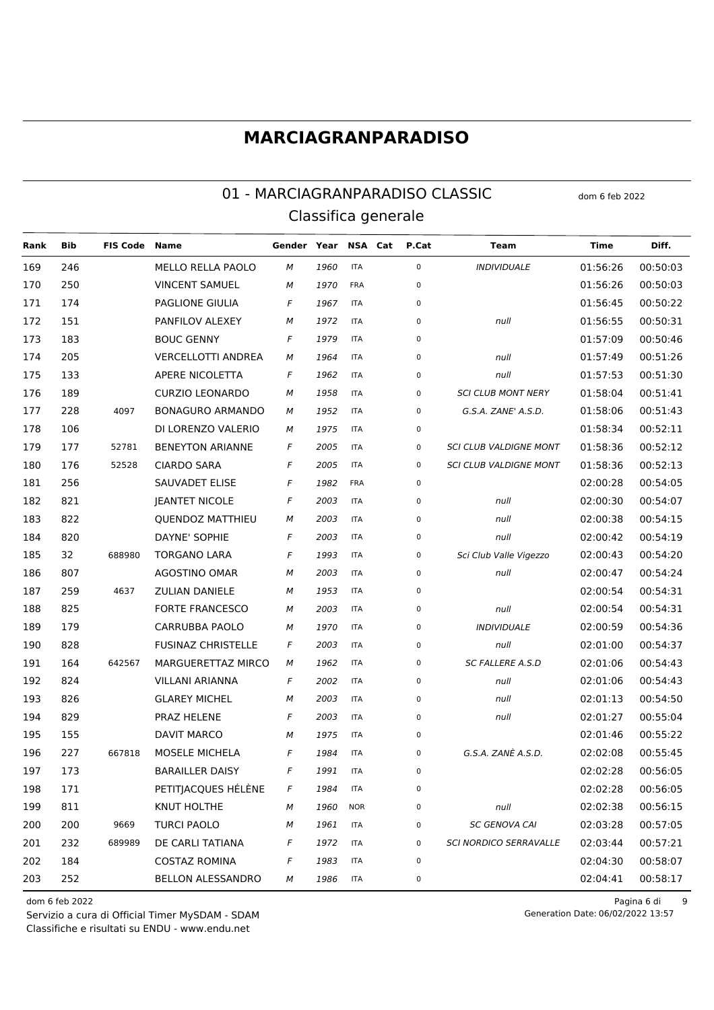#### 01 - MARCIAGRANPARADISO CLASSIC Classifica generale

**FIS Code Name** NSA Cat P.Cat Diff. Rank **Bib** Gender Year **Team Time** 169 246 MELLO RELLA PAOLO **ITA**  $\Omega$ **INDIVIDUALE**  $01.56.26$  $00:50:03$ 1960 M 250 **VINCENT SAMUEL**  $00:50:03$ 170 M 1970 **FRA**  $\Omega$  $01.56.26$ PAGLIONE GIULIA 00:50:22 171 174  $\overline{F}$ 1967 **ITA**  $\Omega$ 01:56:45 PANFILOV ALEXEY 151 **ITA**  $\Omega$ 01:56:55 00:50:31 172 1972 M null **BOUC GENNY** 00:50:46 173 183  $\overline{F}$ 1979 **ITA**  $\Omega$  $01.57.09$ 174 205 **VERCELLOTTI ANDREA** M 1964 **ITA**  $\Omega$ 01:57:49 00:51:26  $null$ 01:57:53 175 APERE NICOLETTA  $\overline{F}$ **ITA**  $\Omega$ 00:51:30  $133$ 1962  $null$ 176 189 **CURZIO LEONARDO** M 1958 **ITA**  $\Omega$ **SCI CLUB MONT NERY** 01:58:04 00:51:41 177 228 4097 **BONAGURO ARMANDO** М 1952 **ITA**  $\Omega$ G.S.A. ZANE' A.S.D. 01:58:06 00:51:43 106 DLLORENZO VALERIO **ITA**  $\Omega$  $01.58.34$  $00:52:11$ 178 1975 M 179 177 52781 **BENEYTON ARIANNE**  $\overline{F}$ 2005 **ITA**  $\Omega$ **SCI CLUB VALDIGNE MONT** 01:58:36 00:52:12 180 176 52528 **CIARDO SARA** 2005 **ITA**  $\overline{0}$ **SCI CLUB VALDIGNE MONT** 01:58:36 00:52:13  $\overline{F}$ 02:00:28 181 256 **SAUVADET ELISE**  $\sqrt{2}$ **FRA** 00:54:05  $\Omega$ 1982 182 821 **IEANTET NICOLE**  $\boldsymbol{\digamma}$ 2003 **ITA**  $\Omega$ 02:00:30 00:54:07 null 183 822 **QUENDOZ MATTHIEU** 2003 **ITA**  $\Omega$ 02:00:38 00:54:15 M  $null$ DAYNE' SOPHIE 184 820  $\overline{F}$ **ITA**  $\Omega$  $02.00.42$  $00.54.19$ 2003 null 185 32 688980 **TORGANO LARA**  $\boldsymbol{\digamma}$ 1993 **ITA**  $\Omega$ Sci Club Valle Vigezzo 02:00:43 00:54:20 186 807 **AGOSTINO OMAR** 2003 **ITA**  $\Omega$ 02:00:47 00:54:24 M  $null$ 187 259 **ZULIAN DANIFLE ITA**  $\Omega$  $02.00.54$ 00:54:31 4637 M 1953 188 825 **FORTE FRANCESCO** 2003 **ITA**  $\Omega$ 02:00:54 00:54:31 M  $null$ 189 179 CARRUBBA PAOLO 1970 **ITA**  $\Omega$ **INDIVIDUALE** 02:00:59 00:54:36 M  $190$ 828 **FUSINAZ CHRISTELLE**  $02.01.00$ 00:54:37  $\overline{F}$ 2003 **ITA**  $\Omega$ null 191 164 642567 MARGUERETTAZ MIRCO 1962 **ITA**  $\overline{0}$ **SC FALLERE A.S.D** 02:01:06 00:54:43 M 192 824 **VII I ANI ARIANNA**  $\overline{F}$ 2002 **ITA**  $\overline{0}$  $02:01:06$  $00:54:43$  $null$ **GLARFY MICHEL** 193 826 M 2003 **ITA**  $\Omega$ null 02:01:13 00:54:50 194 829 PRAZ HELENE  $\overline{F}$ 2003 **ITA**  $\overline{0}$ 02:01:27 00:55:04  $null$ 195 155 **DAVIT MARCO**  $\overline{0}$  $02:01:46$ 00:55:22 1975 **ITA** M 227 MOSELE MICHELA 02:02:08 00:55:45 196 667818  $\sqrt{2}$ 1984 **ITA**  $\Omega$ G.S.A. ZANÈ A.S.D. 197 173 **BARAILLER DAISY**  $\overline{F}$ **ITA**  $\overline{0}$  $02:02:28$  $00:56:05$ 1991 198 PETITIACOUES HÉLÈNE  $02:02:28$  $00:56:05$ 171  $\overline{F}$ 1984 **ITA**  $\Omega$ 811 **KNUT HOLTHE** 02:02:38 199 M 1960 **NOR**  $\Omega$ null 00:56:15 200 200 TURCI PAOLO **ITA**  $\overline{0}$ **SC GENOVA CAI** 02:03:28 00:57:05 9669 M 1961 201  $232$ DE CARLITATIANA  $\Omega$ **SCI NORDICO SERRAVALLE**  $02.03.44$  $00.57.21$ 689989  $\overline{F}$ 1972 **ITA** 202 184 **COSTAZ ROMINA** 02:04:30 00:58:07  $\overline{F}$ 1983 **ITA**  $\Omega$ 203 252 **BELLON ALESSANDRO** 00:58:17  $\overline{M}$ 1986 **ITA**  $\Omega$  $02.04.41$ 

dom 6 feb 2022

Servizio a cura di Official Timer MySDAM - SDAM Classifiche e risultati su ENDU - www.endu.net

Pagina 6 di  $\overline{9}$ Generation Date: 06/02/2022 13:57

dom 6 feb 2022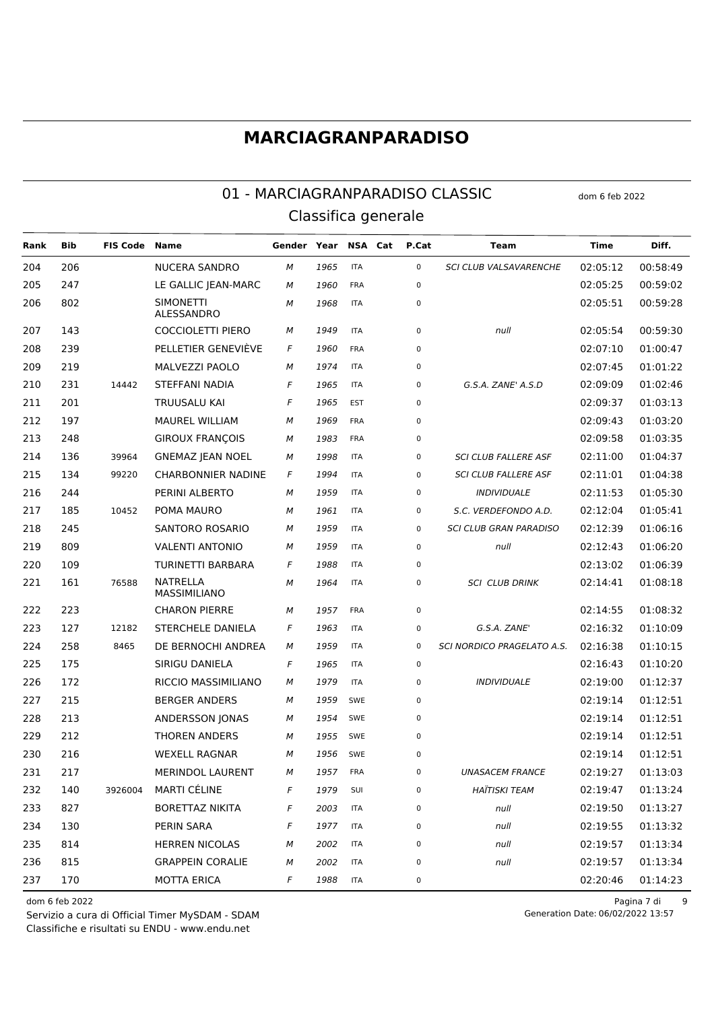#### 01 - MARCIAGRANPARADISO CLASSIC dom 6 feb 2022 Classifica generale

**Rank Bib FIS Code Name Gender Year NSA Cat P.Cat Team Time Diff.** 206 NUCERA SANDRO *M 1965* ITA 0 *SCI CLUB VALSAVARENCHE* 02:05:12 00:58:49 247 LE GALLIC JEAN-MARC *M 1960* FRA 0 02:05:25 00:59:02 SIMONETTI ALESSANDRO *M 1968* ITA 0 02:05:51 00:59:28 143 COCCIOLETTI PIERO *M 1949* ITA 0 *null* 02:05:54 00:59:30 239 PELLETIER GENEVIÈVE *F 1960* FRA 0 02:07:10 01:00:47 219 MALVEZZI PAOLO *M 1974* ITA 0 02:07:45 01:01:22 231 14442 STEFFANI NADIA *F 1965* ITA 0 *G.S.A. ZANE' A.S.D* 02:09:09 01:02:46 201 TRUUSALU KAI *F 1965* EST 0 02:09:37 01:03:13 197 MAUREL WILLIAM *M 1969* FRA 0 02:09:43 01:03:20 248 GIROUX FRANÇOIS *M 1983* FRA 0 02:09:58 01:03:35 136 39964 GNEMAZ JEAN NOEL *M 1998* ITA 0 *SCI CLUB FALLERE ASF* 02:11:00 01:04:37 134 99220 CHARBONNIER NADINE *F 1994* ITA 0 *SCI CLUB FALLERE ASF* 02:11:01 01:04:38 244 PERINI ALBERTO *M 1959* ITA 0 *INDIVIDUALE* 02:11:53 01:05:30 185 10452 POMA MAURO *M 1961* ITA 0 *S.C. VERDEFONDO A.D.* 02:12:04 01:05:41 245 SANTORO ROSARIO *M 1959* ITA 0 *SCI CLUB GRAN PARADISO* 02:12:39 01:06:16 809 VALENTI ANTONIO *M 1959* ITA 0 *null* 02:12:43 01:06:20 109 TURINETTI BARBARA *F 1988* ITA 0 02:13:02 01:06:39 NATRELLA MASSIMILIANO 76588 *M 1964* ITA 0 *SCI CLUB DRINK* 02:14:41 01:08:18 223 CHARON PIERRE *M 1957* FRA 0 02:14:55 01:08:32 127 12182 STERCHELE DANIELA *F 1963* ITA 0 *G.S.A. ZANE'* 02:16:32 01:10:09 258 8465 DE BERNOCHI ANDREA *M 1959* ITA 0 *SCI NORDICO PRAGELATO A.S.* 02:16:38 01:10:15 175 SIRIGU DANIELA *F 1965* ITA 0 02:16:43 01:10:20 172 RICCIO MASSIMILIANO *M 1979* ITA 0 *INDIVIDUALE* 02:19:00 01:12:37 215 BERGER ANDERS *M 1959* SWE 0 02:19:14 01:12:51 213 ANDERSSON JONAS *M 1954* SWE 0 02:19:14 01:12:51 212 THOREN ANDERS *M 1955* SWE 0 02:19:14 01:12:51 216 WEXELL RAGNAR *M 1956* SWE 0 02:19:14 01:12:51 217 MERINDOL LAURENT *M 1957* FRA 0 *UNASACEM FRANCE* 02:19:27 01:13:03 140 3926004 MARTI CÉLINE *F 1979* SUI 0 *HAÏTISKI TEAM* 02:19:47 01:13:24 827 BORETTAZ NIKITA *F 2003* ITA 0 *null* 02:19:50 01:13:27 130 PERIN SARA *F 1977* ITA 0 *null* 02:19:55 01:13:32 814 HERREN NICOLAS *M 2002* ITA 0 *null* 02:19:57 01:13:34 815 GRAPPEIN CORALIE *M 2002* ITA 0 *null* 02:19:57 01:13:34 170 MOTTA ERICA *F 1988* ITA 0 02:20:46 01:14:23

Classifiche e risultati su ENDU - www.endu.net Servizio a cura di Official Timer MySDAM - SDAM

dom 6 feb 2022 Pagina 7 di 9 Generation Date: 06/02/2022 13:57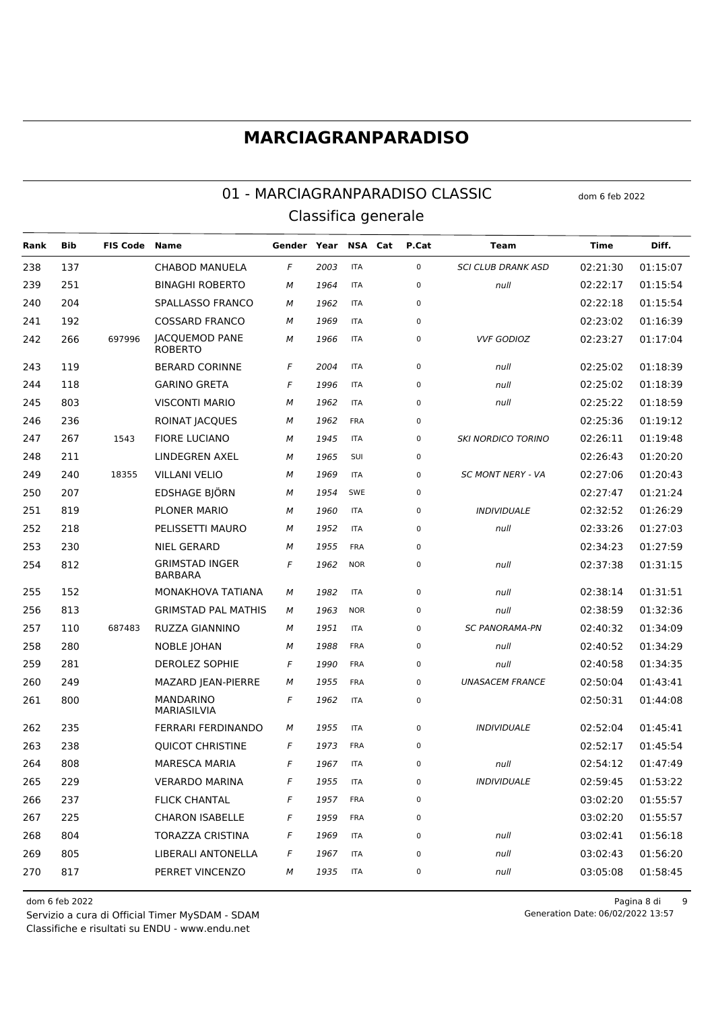#### 01 - MARCIAGRANPARADISO CLASSIC dom 6 feb 2022 Classifica generale

**Rank Bib FIS Code Name Gender Year NSA Cat P.Cat Team Time Diff.** 137 CHABOD MANUELA *F 2003* ITA 0 *SCI CLUB DRANK ASD* 02:21:30 01:15:07 251 BINAGHI ROBERTO *M 1964* ITA 0 *null* 02:22:17 01:15:54 204 SPALLASSO FRANCO *M 1962* ITA 0 02:22:18 01:15:54 192 COSSARD FRANCO *M 1969* ITA 0 02:23:02 01:16:39 266 697996 JACQUEMOD PANE ROBERTO 697996 *M 1966* ITA 0 *VVF GODIOZ* 02:23:27 01:17:04 119 BERARD CORINNE *F 2004* ITA 0 *null* 02:25:02 01:18:39 118 GARINO GRETA *F 1996* ITA 0 *null* 02:25:02 01:18:39 803 VISCONTI MARIO *M 1962* ITA 0 *null* 02:25:22 01:18:59 236 ROINAT JACQUES *M 1962* FRA 0 02:25:36 01:19:12 267 1543 FIORE LUCIANO *M 1945* ITA 0 *SKI NORDICO TORINO* 02:26:11 01:19:48 211 LINDEGREN AXEL *M 1965* SUI 0 02:26:43 01:20:20 240 18355 VILLANI VELIO *M 1969* ITA 0 *SC MONT NERY - VA* 02:27:06 01:20:43 207 EDSHAGE BJÖRN *M 1954* SWE 0 02:27:47 01:21:24 819 PLONER MARIO *M 1960* ITA 0 *INDIVIDUALE* 02:32:52 01:26:29 218 PELISSETTI MAURO *M 1952* ITA 0 *null* 02:33:26 01:27:03 230 NIEL GERARD *M 1955* FRA 0 02:34:23 01:27:59 GRIMSTAD INGER BARBARA *F 1962* NOR 0 *null* 02:37:38 01:31:15 152 MONAKHOVA TATIANA *M 1982* ITA 0 *null* 02:38:14 01:31:51 813 GRIMSTAD PAL MATHIS *M 1963* NOR 0 *null* 02:38:59 01:32:36 110 687483 RUZZA GIANNINO *M 1951* ITA 0 *SC PANORAMA-PN* 02:40:32 01:34:09 280 NOBLE JOHAN *M 1988* FRA 0 *null* 02:40:52 01:34:29 281 DEROLEZ SOPHIE *F 1990* FRA 0 *null* 02:40:58 01:34:35 249 MAZARD JEAN-PIERRE *M 1955* FRA 0 *UNASACEM FRANCE* 02:50:04 01:43:41 MANDARINO MARIASILVIA *F 1962* ITA 0 02:50:31 01:44:08 235 FERRARI FERDINANDO *M 1955* ITA 0 *INDIVIDUALE* 02:52:04 01:45:41 238 QUICOT CHRISTINE *F 1973* FRA 0 02:52:17 01:45:54 808 MARESCA MARIA *F 1967* ITA 0 *null* 02:54:12 01:47:49 229 VERARDO MARINA *F 1955* ITA 0 *INDIVIDUALE* 02:59:45 01:53:22 237 FLICK CHANTAL *F 1957* FRA 0 03:02:20 01:55:57 225 CHARON ISABELLE *F 1959* FRA 0 03:02:20 01:55:57 804 TORAZZA CRISTINA *F 1969* ITA 0 *null* 03:02:41 01:56:18 805 LIBERALI ANTONELLA *F 1967* ITA 0 *null* 03:02:43 01:56:20 817 PERRET VINCENZO *M 1935* ITA 0 *null* 03:05:08 01:58:45

Classifiche e risultati su ENDU - www.endu.net Servizio a cura di Official Timer MySDAM - SDAM

dom 6 feb 2022 Pagina 8 di 9 Generation Date: 06/02/2022 13:57